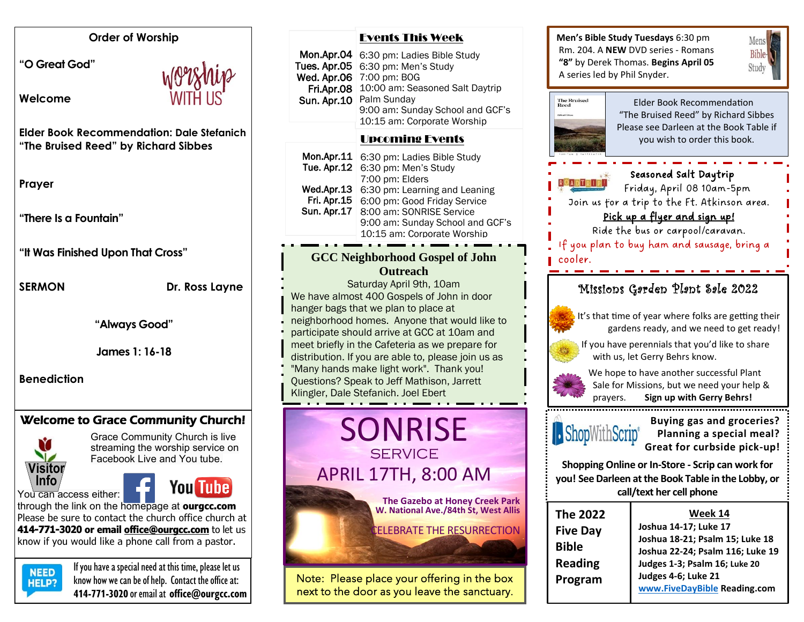#### **Order of Worship**

**"O Great God"** 

**Welcome** 



**Elder Book Recommendation: Dale Stefanich "The Bruised Reed" by Richard Sibbes** 

**Prayer**

**"There Is a Fountain"**

**"It Was Finished Upon That Cross"**

**SERMON** Dr. Ross Layne

**"Always Good"**

**James 1: 16-18**

**Benediction**

# Welcome to Grace Community Church!





Grace Community Church is live streaming the worship service on Facebook Live and You tube.

through the link on the homepage at **ourgcc.com**  Please be sure to contact the church office church at **414-771-3020 or email [office@ourgcc.com](mailto:office@ourgcc.com)** to let us know if you would like a phone call from a pastor.



**NEED** If you have a special need at this time, please let us  $H = P$ ? know how we can be of help. Contact the office at: **414-771-3020** or email at **[office@ourgcc.com](mailto:office@ourgcc.com)**

| Mon.Apr.04<br>Tues. Apr.05<br>Wed. Apr.06<br>Fri.Apr.08<br><b>Sun. Apr.10</b>                                                                                                                                                                                                                                                                                                                                                                                                  | 6:30 pm: Ladies Bible Study<br>6:30 pm: Men's Study<br>7:00 pm: BOG<br>10:00 am: Seasoned Salt Daytrip<br>Palm Sunday<br>9:00 am: Sunday School and GCF's                                                                              | Rm. 204<br>"8" by D<br>A series<br><b>The Bruised</b><br>Reed |
|--------------------------------------------------------------------------------------------------------------------------------------------------------------------------------------------------------------------------------------------------------------------------------------------------------------------------------------------------------------------------------------------------------------------------------------------------------------------------------|----------------------------------------------------------------------------------------------------------------------------------------------------------------------------------------------------------------------------------------|---------------------------------------------------------------|
|                                                                                                                                                                                                                                                                                                                                                                                                                                                                                | 10:15 am: Corporate Worship<br><b>Upcoming Events</b>                                                                                                                                                                                  |                                                               |
| Mon.Apr.11<br>Tue. Apr.12<br>Wed.Apr.13<br>Fri. Apr.15<br><b>Sun. Apr.17</b>                                                                                                                                                                                                                                                                                                                                                                                                   | 6:30 pm: Ladies Bible Study<br>6:30 pm: Men's Study<br>7:00 pm: Elders<br>6:30 pm: Learning and Leaning<br>6:00 pm: Good Friday Service<br>8:00 am: SONRISE Service<br>9:00 am: Sunday School and GCF's<br>10:15 am: Corporate Worship | Join                                                          |
| <b>GCC Neighborhood Gospel of John</b>                                                                                                                                                                                                                                                                                                                                                                                                                                         |                                                                                                                                                                                                                                        | If you<br>cooler.                                             |
| <b>Outreach</b><br>Saturday April 9th, 10am<br>We have almost 400 Gospels of John in door<br>hanger bags that we plan to place at<br>neighborhood homes. Anyone that would like to<br>participate should arrive at GCC at 10am and<br>meet briefly in the Cafeteria as we prepare for<br>distribution. If you are able to, please join us as<br>"Many hands make light work". Thank you!<br>Questions? Speak to Jeff Mathison, Jarrett<br>Klingler, Dale Stefanich. Joel Ebert |                                                                                                                                                                                                                                        | 'N,<br>lťs<br>If١                                             |
| <b>SONRISE</b><br><b>SERVICE</b>                                                                                                                                                                                                                                                                                                                                                                                                                                               |                                                                                                                                                                                                                                        | Shop                                                          |
| <b>APRIL 17TH, 8:00 AM</b>                                                                                                                                                                                                                                                                                                                                                                                                                                                     |                                                                                                                                                                                                                                        | Shopp<br>you! See                                             |
|                                                                                                                                                                                                                                                                                                                                                                                                                                                                                | The Gazebo at Honey Creek Park<br>W. National Ave./84th St. West Allis                                                                                                                                                                 |                                                               |

Events This Week



Note: Please place your offering in the box next to the door as you leave the sanctuary.

**Men's Bible Study Tuesdays** 6:30 pm Rm. 204. A **NEW** DVD series - Romans **"8"** by Derek Thomas. **Begins April 05** A series led by Phil Snyder.





purchased.<br>Purchased.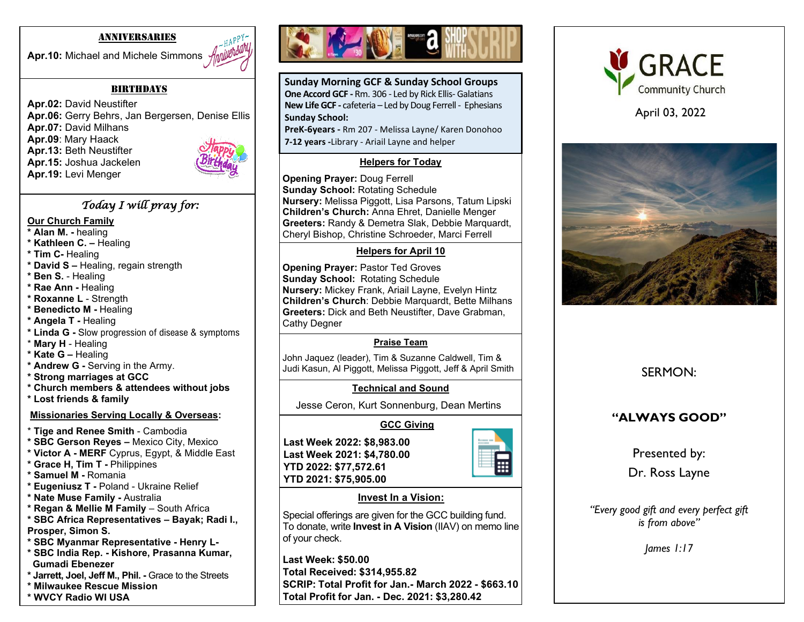#### ANNIVERSARIES

Apr.10: Michael and Michele Simmons *Applillbbla* 



#### **BIRTHDAYS**

**Apr.02:** David Neustifter **Apr.06:** Gerry Behrs, Jan Bergersen, Denise Ellis **Apr.07:** David Milhans **Apr.09**: Mary Haack **Apr.13:** Beth Neustifter **Apr.15:** Joshua Jackelen **Apr.19:** Levi Menger

## *Today I will pray for:*

#### **Our Church Family**

- **\* Alan M. -** healing
- **\* Kathleen C. –** Healing
- **\* Tim C-** Healing
- **\* David S –** Healing, regain strength
- **\* Ben S.** Healing
- **\* Rae Ann -** Healing
- **\* Roxanne L**  Strength
- **\* Benedicto M -** Healing
- **\* Angela T -** Healing
- **\* Linda G -** Slow progression of disease & symptoms
- \* **Mary H**  Healing
- **\* Kate G –** Healing
- **\* Andrew G -** Serving in the Army.
- **\* Strong marriages at GCC**
- **\* Church members & attendees without jobs**
- **\* Lost friends & family**

#### **Missionaries Serving Locally & Overseas:**

- \* **Tige and Renee Smith** Cambodia
- **\* SBC Gerson Reyes –** Mexico City, Mexico
- **\* Victor A - MERF** Cyprus, Egypt, & Middle East
- **\* Grace H, Tim T -** Philippines
- **\* Samuel M -** Romania
- **\* Eugeniusz T -** Poland Ukraine Relief
- **\* Nate Muse Family -** Australia
- **\* Regan & Mellie M Family**  South Africa
- **\* SBC Africa Representatives – Bayak; Radi I.,**
- **Prosper, Simon S.**
- **\* SBC Myanmar Representative - Henry L-**
- **\* SBC India Rep. - Kishore, Prasanna Kumar, Gumadi Ebenezer**
- **\* Jarrett, Joel, Jeff M., Phil. -** Grace to the Streets
- **\* Milwaukee Rescue Mission**
- **\* WVCY Radio WI USA**



**Sunday Morning GCF & Sunday School Groups One Accord GCF -** Rm. 306 - Led by Rick Ellis- Galatians **New Life GCF -** cafeteria – Led by Doug Ferrell - Ephesians **Sunday School:**

**PreK-6years -** Rm 207 - Melissa Layne/ Karen Donohoo **7-12 years -**Library - Ariail Layne and helper

## **Helpers for Today**

**Opening Prayer:** Doug Ferrell **Sunday School:** Rotating Schedule **Nursery:** Melissa Piggott, Lisa Parsons, Tatum Lipski **Children's Church:** Anna Ehret, Danielle Menger **Greeters:** Randy & Demetra Slak, Debbie Marquardt, Cheryl Bishop, Christine Schroeder, Marci Ferrell

## **Helpers for April 10**

**Opening Prayer:** Pastor Ted Groves **Sunday School:** Rotating Schedule **Nursery:** Mickey Frank, Ariail Layne, Evelyn Hintz **Children's Church**: Debbie Marquardt, Bette Milhans **Greeters:** Dick and Beth Neustifter, Dave Grabman, Cathy Degner

## **Praise Team**

John Jaquez (leader), Tim & Suzanne Caldwell, Tim & Judi Kasun, Al Piggott, Melissa Piggott, Jeff & April Smith

## **Technical and Sound**

Jesse Ceron, Kurt Sonnenburg, Dean Mertins

# **GCC Giving**

**Last Week 2022: \$8,983.00 Last Week 2021: \$4,780.00 YTD 2022: \$77,572.61 YTD 2021: \$75,905.00**



## **Invest In a Vision:**

Special offerings are given for the GCC building fund. To donate, write **Invest in A Vision** (IIAV) on memo line of your check.

**Last Week: \$50.00 Total Received: \$314,955.82 SCRIP: Total Profit for Jan.- March 2022 - \$663.10 Total Profit for Jan. - Dec. 2021: \$3,280.42**



April 03, 2022



SERMON:

# **"ALWAYS GOOD"**

Presented by:

Dr. Ross Layne

*"Every good gift and every perfect gift is from above"*

*James 1:17*